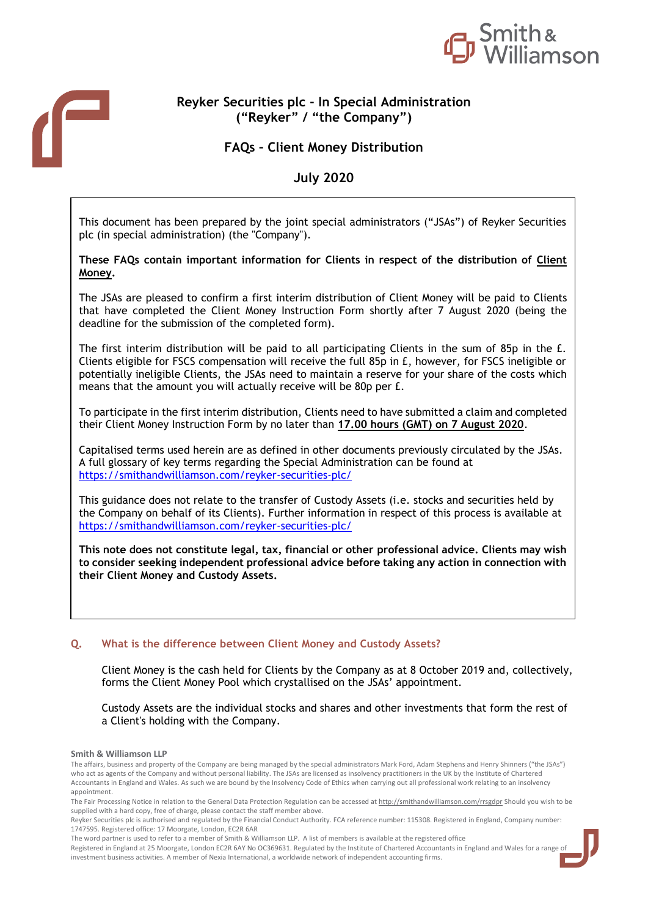

# **Reyker Securities plc - In Special Administration ("Reyker" / "the Company")**

**FAQs – Client Money Distribution** 

**July 2020** 

This document has been prepared by the joint special administrators ("JSAs") of Reyker Securities plc (in special administration) (the "Company").

# **These FAQs contain important information for Clients in respect of the distribution of Client Money.**

The JSAs are pleased to confirm a first interim distribution of Client Money will be paid to Clients that have completed the Client Money Instruction Form shortly after 7 August 2020 (being the deadline for the submission of the completed form).

The first interim distribution will be paid to all participating Clients in the sum of 85p in the £. Clients eligible for FSCS compensation will receive the full 85p in £, however, for FSCS ineligible or potentially ineligible Clients, the JSAs need to maintain a reserve for your share of the costs which means that the amount you will actually receive will be 80p per £.

To participate in the first interim distribution, Clients need to have submitted a claim and completed their Client Money Instruction Form by no later than **17.00 hours (GMT) on 7 August 2020**.

Capitalised terms used herein are as defined in other documents previously circulated by the JSAs. A full glossary of key terms regarding the Special Administration can be found at <https://smithandwilliamson.com/reyker-securities-plc/>

This guidance does not relate to the transfer of Custody Assets (i.e. stocks and securities held by the Company on behalf of its Clients). Further information in respect of this process is available at <https://smithandwilliamson.com/reyker-securities-plc/>

**This note does not constitute legal, tax, financial or other professional advice. Clients may wish to consider seeking independent professional advice before taking any action in connection with their Client Money and Custody Assets.** 

# **Q.** What is the difference between Client Money and Custody Assets?

Client Money is the cash held for Clients by the Company as at 8 October 2019 and, collectively, forms the Client Money Pool which crystallised on the JSAs' appointment.

Custody Assets are the individual stocks and shares and other investments that form the rest of a Client's holding with the Company.

#### **Smith & Williamson LLP**

The affairs, business and property of the Company are being managed by the special administrators Mark Ford, Adam Stephens and Henry Shinners ("the JSAs") who act as agents of the Company and without personal liability. The JSAs are licensed as insolvency practitioners in the UK by the Institute of Chartered Accountants in England and Wales. As such we are bound by the Insolvency Code of Ethics when carrying out all professional work relating to an insolvency appointment.

Reyker Securities plc is authorised and regulated by the Financial Conduct Authority. FCA reference number: 115308. Registered in England, Company number: 1747595. Registered office: 17 Moorgate, London, EC2R 6AR

The word partner is used to refer to a member of Smith & Williamson LLP. A list of members is available at the registered office

Registered in England at 25 Moorgate, London EC2R 6AY No OC369631. Regulated by the Institute of Chartered Accountants in England and Wales for a range of investment business activities. A member of Nexia International, a worldwide network of independent accounting firms.

The Fair Processing Notice in relation to the General Data Protection Regulation can be accessed a[t http://smithandwilliamson.com/rrsgdpr](http://smithandwilliamson.com/rrsgdpr) Should you wish to be supplied with a hard copy, free of charge, please contact the staff member above.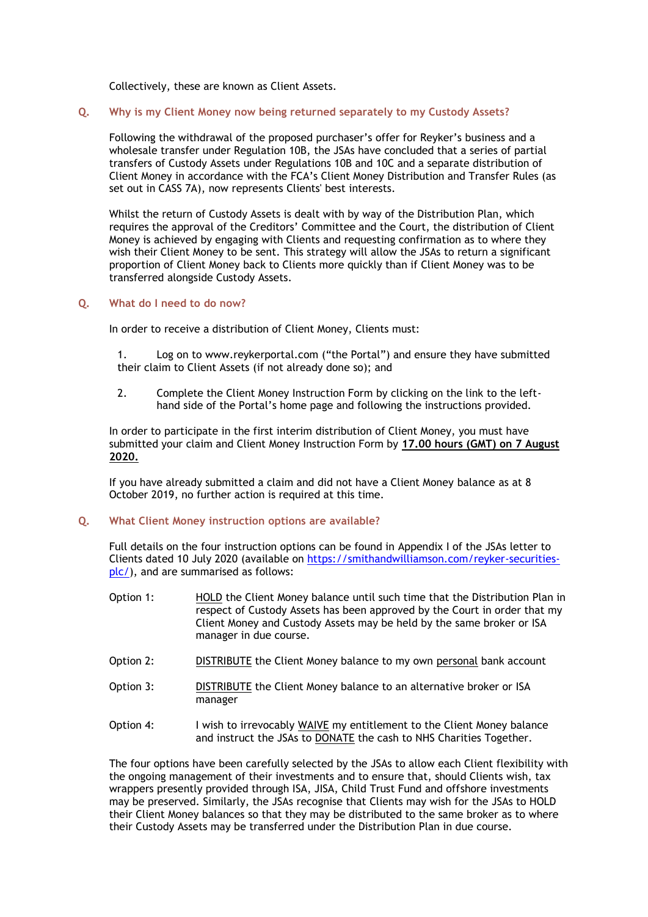Collectively, these are known as Client Assets.

#### **Q. Why is my Client Money now being returned separately to my Custody Assets?**

Following the withdrawal of the proposed purchaser's offer for Reyker's business and a wholesale transfer under Regulation 10B, the JSAs have concluded that a series of partial transfers of Custody Assets under Regulations 10B and 10C and a separate distribution of Client Money in accordance with the FCA's Client Money Distribution and Transfer Rules (as set out in CASS 7A), now represents Clients' best interests.

Whilst the return of Custody Assets is dealt with by way of the Distribution Plan, which requires the approval of the Creditors' Committee and the Court, the distribution of Client Money is achieved by engaging with Clients and requesting confirmation as to where they wish their Client Money to be sent. This strategy will allow the JSAs to return a significant proportion of Client Money back to Clients more quickly than if Client Money was to be transferred alongside Custody Assets.

#### **Q. What do I need to do now?**

In order to receive a distribution of Client Money, Clients must:

1. Log on to [www.reykerportal.com](http://www.reykerportal.com/) ("the Portal") and ensure they have submitted their claim to Client Assets (if not already done so); and

2. Complete the Client Money Instruction Form by clicking on the link to the lefthand side of the Portal's home page and following the instructions provided.

In order to participate in the first interim distribution of Client Money, you must have submitted your claim and Client Money Instruction Form by **17.00 hours (GMT) on 7 August 2020.**

If you have already submitted a claim and did not have a Client Money balance as at 8 October 2019, no further action is required at this time.

#### **Q. What Client Money instruction options are available?**

Full details on the four instruction options can be found in Appendix I of the JSAs letter to Clients dated 10 July 2020 (available on [https://smithandwilliamson.com/reyker-securities](https://smithandwilliamson.com/reyker-securities-plc/)[plc/\)](https://smithandwilliamson.com/reyker-securities-plc/), and are summarised as follows:

- Option 1: HOLD the Client Money balance until such time that the Distribution Plan in respect of Custody Assets has been approved by the Court in order that my Client Money and Custody Assets may be held by the same broker or ISA manager in due course.
- Option 2: DISTRIBUTE the Client Money balance to my own personal bank account
- Option 3: DISTRIBUTE the Client Money balance to an alternative broker or ISA manager
- Option 4: I wish to irrevocably WAIVE my entitlement to the Client Money balance and instruct the JSAs to DONATE the cash to NHS Charities Together.

The four options have been carefully selected by the JSAs to allow each Client flexibility with the ongoing management of their investments and to ensure that, should Clients wish, tax wrappers presently provided through ISA, JISA, Child Trust Fund and offshore investments may be preserved. Similarly, the JSAs recognise that Clients may wish for the JSAs to HOLD their Client Money balances so that they may be distributed to the same broker as to where their Custody Assets may be transferred under the Distribution Plan in due course.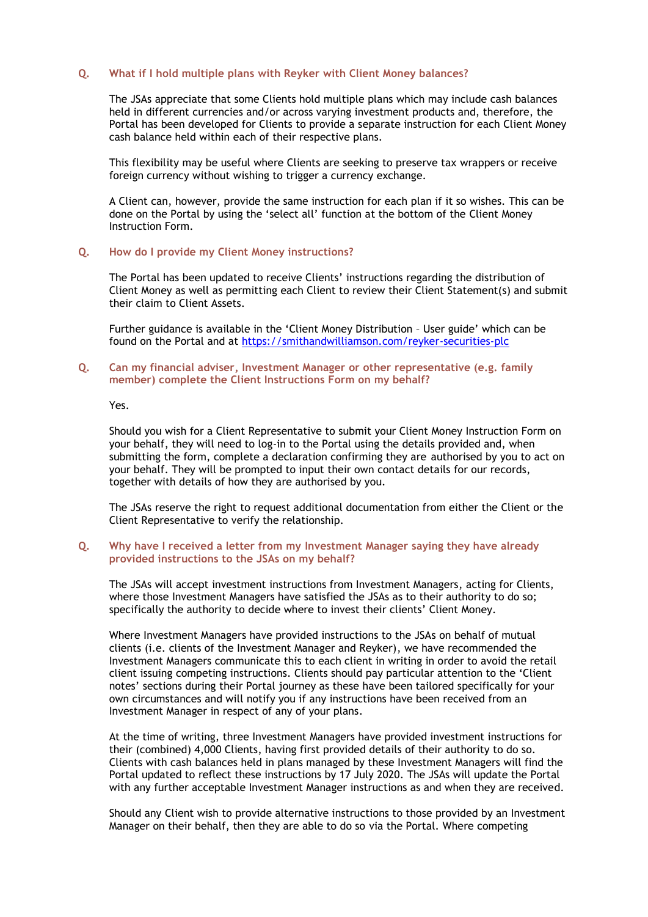### **Q. What if I hold multiple plans with Reyker with Client Money balances?**

The JSAs appreciate that some Clients hold multiple plans which may include cash balances held in different currencies and/or across varying investment products and, therefore, the Portal has been developed for Clients to provide a separate instruction for each Client Money cash balance held within each of their respective plans.

This flexibility may be useful where Clients are seeking to preserve tax wrappers or receive foreign currency without wishing to trigger a currency exchange.

A Client can, however, provide the same instruction for each plan if it so wishes. This can be done on the Portal by using the 'select all' function at the bottom of the Client Money Instruction Form.

### **Q. How do I provide my Client Money instructions?**

The Portal has been updated to receive Clients' instructions regarding the distribution of Client Money as well as permitting each Client to review their Client Statement(s) and submit their claim to Client Assets.

Further guidance is available in the 'Client Money Distribution – User guide' which can be found on the Portal and at<https://smithandwilliamson.com/reyker-securities-plc>

### **Q. Can my financial adviser, Investment Manager or other representative (e.g. family member) complete the Client Instructions Form on my behalf?**

Yes.

Should you wish for a Client Representative to submit your Client Money Instruction Form on your behalf, they will need to log-in to the Portal using the details provided and, when submitting the form, complete a declaration confirming they are authorised by you to act on your behalf. They will be prompted to input their own contact details for our records, together with details of how they are authorised by you.

The JSAs reserve the right to request additional documentation from either the Client or the Client Representative to verify the relationship.

### **Q. Why have I received a letter from my Investment Manager saying they have already provided instructions to the JSAs on my behalf?**

The JSAs will accept investment instructions from Investment Managers, acting for Clients, where those Investment Managers have satisfied the JSAs as to their authority to do so; specifically the authority to decide where to invest their clients' Client Money.

Where Investment Managers have provided instructions to the JSAs on behalf of mutual clients (i.e. clients of the Investment Manager and Reyker), we have recommended the Investment Managers communicate this to each client in writing in order to avoid the retail client issuing competing instructions. Clients should pay particular attention to the 'Client notes' sections during their Portal journey as these have been tailored specifically for your own circumstances and will notify you if any instructions have been received from an Investment Manager in respect of any of your plans.

At the time of writing, three Investment Managers have provided investment instructions for their (combined) 4,000 Clients, having first provided details of their authority to do so. Clients with cash balances held in plans managed by these Investment Managers will find the Portal updated to reflect these instructions by 17 July 2020. The JSAs will update the Portal with any further acceptable Investment Manager instructions as and when they are received.

Should any Client wish to provide alternative instructions to those provided by an Investment Manager on their behalf, then they are able to do so via the Portal. Where competing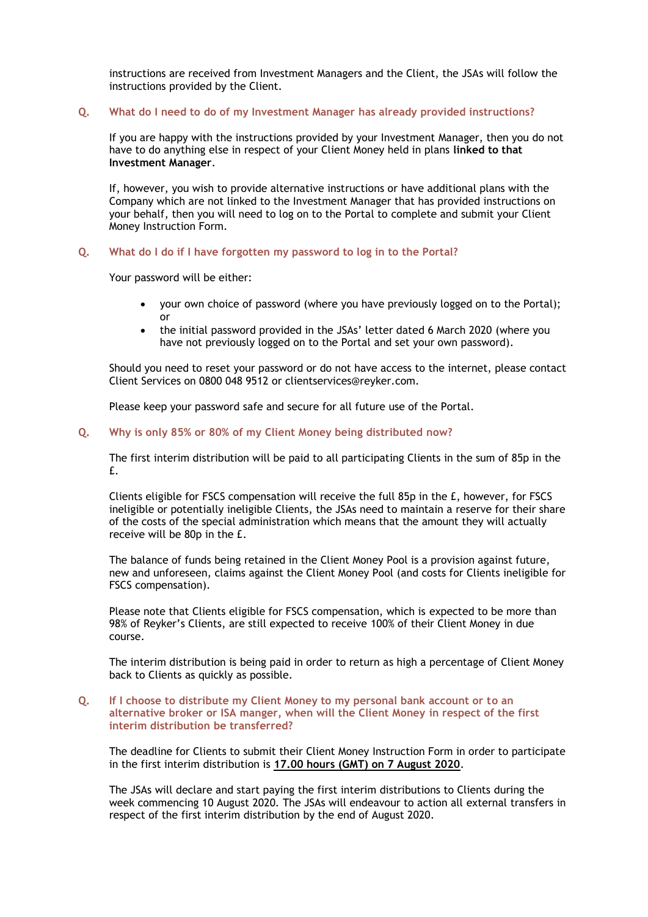instructions are received from Investment Managers and the Client, the JSAs will follow the instructions provided by the Client.

#### **Q. What do I need to do of my Investment Manager has already provided instructions?**

If you are happy with the instructions provided by your Investment Manager, then you do not have to do anything else in respect of your Client Money held in plans **linked to that Investment Manager**.

If, however, you wish to provide alternative instructions or have additional plans with the Company which are not linked to the Investment Manager that has provided instructions on your behalf, then you will need to log on to the Portal to complete and submit your Client Money Instruction Form.

#### **Q. What do I do if I have forgotten my password to log in to the Portal?**

Your password will be either:

- your own choice of password (where you have previously logged on to the Portal); or
- the initial password provided in the JSAs' letter dated 6 March 2020 (where you have not previously logged on to the Portal and set your own password).

Should you need to reset your password or do not have access to the internet, please contact Client Services on 0800 048 9512 or clientservices@reyker.com.

Please keep your password safe and secure for all future use of the Portal.

### **Q. Why is only 85% or 80% of my Client Money being distributed now?**

The first interim distribution will be paid to all participating Clients in the sum of 85p in the £.

Clients eligible for FSCS compensation will receive the full 85p in the £, however, for FSCS ineligible or potentially ineligible Clients, the JSAs need to maintain a reserve for their share of the costs of the special administration which means that the amount they will actually receive will be 80p in the £.

The balance of funds being retained in the Client Money Pool is a provision against future, new and unforeseen, claims against the Client Money Pool (and costs for Clients ineligible for FSCS compensation).

Please note that Clients eligible for FSCS compensation, which is expected to be more than 98% of Reyker's Clients, are still expected to receive 100% of their Client Money in due course.

The interim distribution is being paid in order to return as high a percentage of Client Money back to Clients as quickly as possible.

#### **Q. If I choose to distribute my Client Money to my personal bank account or to an alternative broker or ISA manger, when will the Client Money in respect of the first interim distribution be transferred?**

The deadline for Clients to submit their Client Money Instruction Form in order to participate in the first interim distribution is **17.00 hours (GMT) on 7 August 2020**.

The JSAs will declare and start paying the first interim distributions to Clients during the week commencing 10 August 2020. The JSAs will endeavour to action all external transfers in respect of the first interim distribution by the end of August 2020.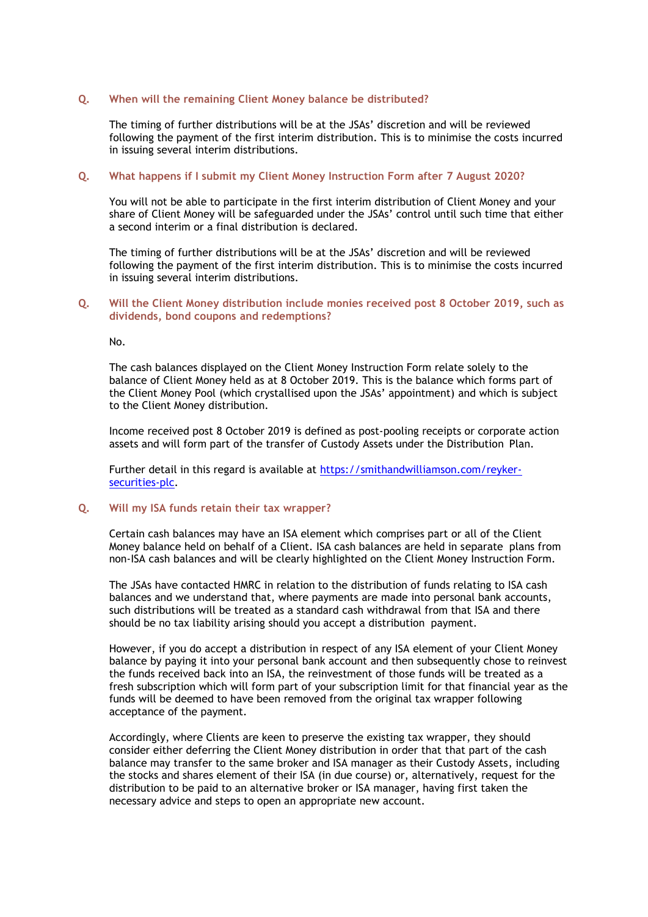### **Q. When will the remaining Client Money balance be distributed?**

The timing of further distributions will be at the JSAs' discretion and will be reviewed following the payment of the first interim distribution. This is to minimise the costs incurred in issuing several interim distributions.

# **Q. What happens if I submit my Client Money Instruction Form after 7 August 2020?**

You will not be able to participate in the first interim distribution of Client Money and your share of Client Money will be safeguarded under the JSAs' control until such time that either a second interim or a final distribution is declared.

The timing of further distributions will be at the JSAs' discretion and will be reviewed following the payment of the first interim distribution. This is to minimise the costs incurred in issuing several interim distributions.

# **Q. Will the Client Money distribution include monies received post 8 October 2019, such as dividends, bond coupons and redemptions?**

No.

The cash balances displayed on the Client Money Instruction Form relate solely to the balance of Client Money held as at 8 October 2019. This is the balance which forms part of the Client Money Pool (which crystallised upon the JSAs' appointment) and which is subject to the Client Money distribution.

Income received post 8 October 2019 is defined as post-pooling receipts or corporate action assets and will form part of the transfer of Custody Assets under the Distribution Plan.

Further detail in this regard is available at [https://smithandwilliamson.com/reyker](https://smithandwilliamson.com/reyker-securities-plc)[securities-plc.](https://smithandwilliamson.com/reyker-securities-plc)

# **Q. Will my ISA funds retain their tax wrapper?**

Certain cash balances may have an ISA element which comprises part or all of the Client Money balance held on behalf of a Client. ISA cash balances are held in separate plans from non-ISA cash balances and will be clearly highlighted on the Client Money Instruction Form.

The JSAs have contacted HMRC in relation to the distribution of funds relating to ISA cash balances and we understand that, where payments are made into personal bank accounts, such distributions will be treated as a standard cash withdrawal from that ISA and there should be no tax liability arising should you accept a distribution payment.

However, if you do accept a distribution in respect of any ISA element of your Client Money balance by paying it into your personal bank account and then subsequently chose to reinvest the funds received back into an ISA, the reinvestment of those funds will be treated as a fresh subscription which will form part of your subscription limit for that financial year as the funds will be deemed to have been removed from the original tax wrapper following acceptance of the payment.

Accordingly, where Clients are keen to preserve the existing tax wrapper, they should consider either deferring the Client Money distribution in order that that part of the cash balance may transfer to the same broker and ISA manager as their Custody Assets, including the stocks and shares element of their ISA (in due course) or, alternatively, request for the distribution to be paid to an alternative broker or ISA manager, having first taken the necessary advice and steps to open an appropriate new account.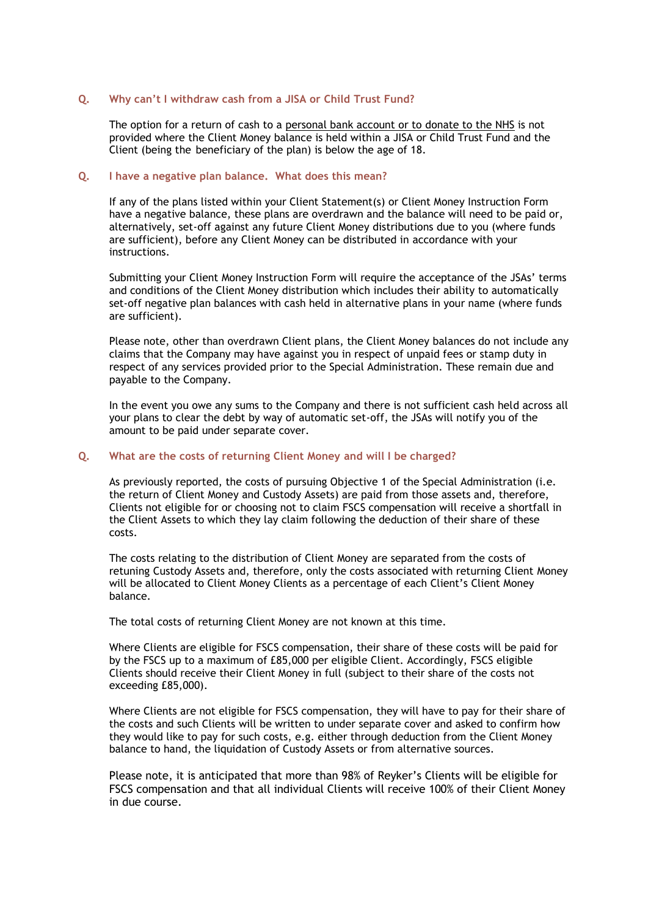#### **Q. Why can't I withdraw cash from a JISA or Child Trust Fund?**

The option for a return of cash to a personal bank account or to donate to the NHS is not provided where the Client Money balance is held within a JISA or Child Trust Fund and the Client (being the beneficiary of the plan) is below the age of 18.

# **Q. I have a negative plan balance. What does this mean?**

If any of the plans listed within your Client Statement(s) or Client Money Instruction Form have a negative balance, these plans are overdrawn and the balance will need to be paid or, alternatively, set-off against any future Client Money distributions due to you (where funds are sufficient), before any Client Money can be distributed in accordance with your instructions.

Submitting your Client Money Instruction Form will require the acceptance of the JSAs' terms and conditions of the Client Money distribution which includes their ability to automatically set-off negative plan balances with cash held in alternative plans in your name (where funds are sufficient).

Please note, other than overdrawn Client plans, the Client Money balances do not include any claims that the Company may have against you in respect of unpaid fees or stamp duty in respect of any services provided prior to the Special Administration. These remain due and payable to the Company.

In the event you owe any sums to the Company and there is not sufficient cash held across all your plans to clear the debt by way of automatic set-off, the JSAs will notify you of the amount to be paid under separate cover.

#### **Q. What are the costs of returning Client Money and will I be charged?**

As previously reported, the costs of pursuing Objective 1 of the Special Administration (i.e. the return of Client Money and Custody Assets) are paid from those assets and, therefore, Clients not eligible for or choosing not to claim FSCS compensation will receive a shortfall in the Client Assets to which they lay claim following the deduction of their share of these costs.

The costs relating to the distribution of Client Money are separated from the costs of retuning Custody Assets and, therefore, only the costs associated with returning Client Money will be allocated to Client Money Clients as a percentage of each Client's Client Money balance.

The total costs of returning Client Money are not known at this time.

Where Clients are eligible for FSCS compensation, their share of these costs will be paid for by the FSCS up to a maximum of £85,000 per eligible Client. Accordingly, FSCS eligible Clients should receive their Client Money in full (subject to their share of the costs not exceeding £85,000).

Where Clients are not eligible for FSCS compensation, they will have to pay for their share of the costs and such Clients will be written to under separate cover and asked to confirm how they would like to pay for such costs, e.g. either through deduction from the Client Money balance to hand, the liquidation of Custody Assets or from alternative sources.

Please note, it is anticipated that more than 98% of Reyker's Clients will be eligible for FSCS compensation and that all individual Clients will receive 100% of their Client Money in due course.